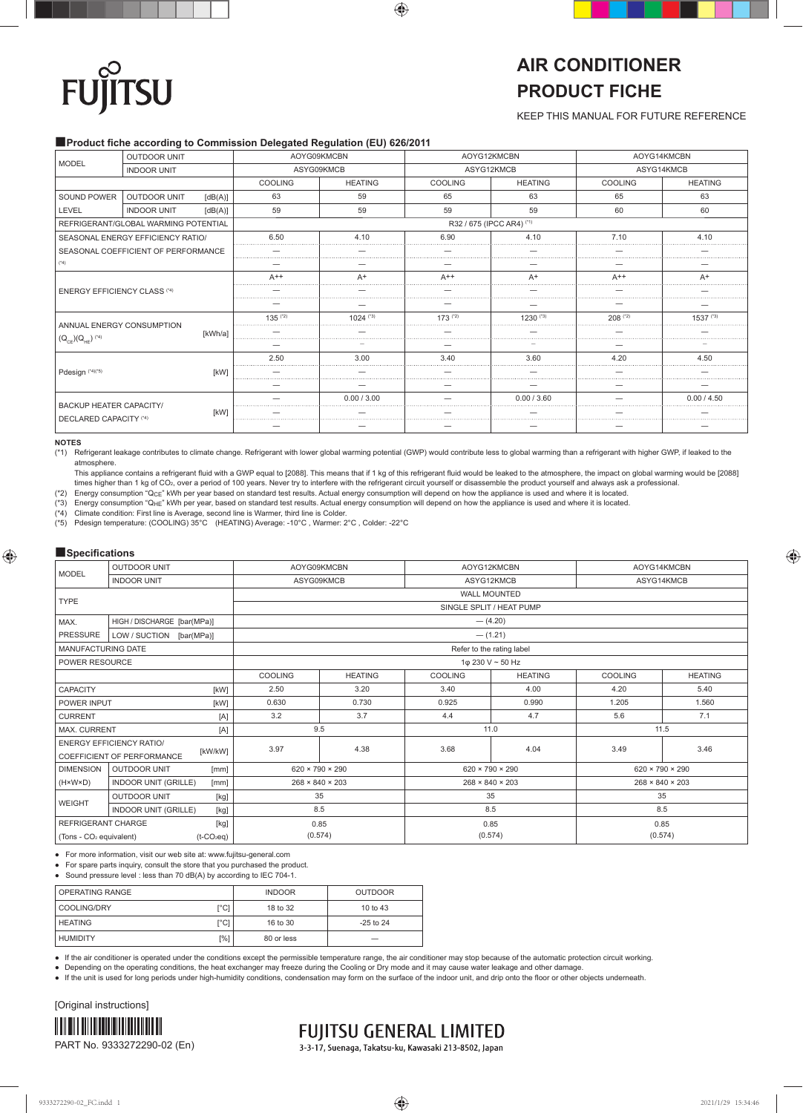# **TSU FU**

## **AIR CONDITIONER PRODUCT FICHE**

KEEP THIS MANUAL FOR FUTURE REFERENCE

### ■**Product fiche according to Commission Delegated Regulation (EU) 626/2011**

| <b>MODEL</b>                        | <b>OUTDOOR UNIT</b>                  |         | AOYG09KMCBN |                | AOYG12KMCBN    |                           | AOYG14KMCBN |                |
|-------------------------------------|--------------------------------------|---------|-------------|----------------|----------------|---------------------------|-------------|----------------|
|                                     | <b>INDOOR UNIT</b>                   |         |             | ASYG09KMCB     |                | ASYG12KMCB                | ASYG14KMCB  |                |
|                                     |                                      |         | COOLING     | <b>HEATING</b> | <b>COOLING</b> | <b>HEATING</b>            | COOLING     | <b>HEATING</b> |
| SOUND POWER                         | <b>OUTDOOR UNIT</b>                  | [dB(A)] | 63          | 59             | 65             | 63                        | 65          | 63             |
| LEVEL                               | <b>INDOOR UNIT</b>                   | [dB(A)] | 59          | 59             | 59             | 59                        | 60          | 60             |
|                                     | REFRIGERANT/GLOBAL WARMING POTENTIAL |         |             |                |                | R32 / 675 (IPCC AR4) (*1) |             |                |
|                                     | SEASONAL ENERGY EFFICIENCY RATIO/    |         | 6.50        | 4.10           | 6.90           | 4.10<br>.                 | 7.10<br>.   | 4.10           |
|                                     | SEASONAL COEFFICIENT OF PERFORMANCE  |         |             |                |                |                           |             |                |
| $(^{4}4)$                           |                                      |         |             |                |                |                           |             |                |
|                                     |                                      |         | $A++$       | $A^+$          | $A++$          | $A^+$                     | $A++$       | $A^+$          |
| <b>ENERGY EFFICIENCY CLASS (*4)</b> |                                      |         |             |                |                |                           |             |                |
|                                     |                                      |         |             |                |                |                           |             |                |
|                                     |                                      |         | $135$ (*2)  | 1024 (*3)      | $173$ (*2)     | 1230 (*3)                 | $208$ (*2)  | 1537 (*3)      |
| ANNUAL ENERGY CONSUMPTION           |                                      | [kWh/a] |             |                |                |                           |             |                |
| $(Q_{CE})(Q_{HE})$ (*4)             |                                      |         |             |                |                |                           |             |                |
|                                     |                                      |         | 2.50        | 3.00           | 3.40           | 3.60                      | 4.20<br>.   | 4.50           |
| Pdesign (*4)(*5)                    |                                      | [kW]    |             |                |                |                           |             | 0.00 / 4.50    |
|                                     |                                      |         |             |                |                |                           |             |                |
|                                     |                                      |         |             | 0.00 / 3.00    |                | 0.00 / 3.60               |             |                |
| <b>BACKUP HEATER CAPACITY/</b>      |                                      | [kW]    |             |                |                |                           |             |                |
| DECLARED CAPACITY (*4)              |                                      |         |             |                |                |                           |             |                |

### **NOTES**

(\*1) Refrigerant leakage contributes to climate change. Refrigerant with lower global warming potential (GWP) would contribute less to global warming than a refrigerant with higher GWP, if leaked to the atmosphere.

This appliance contains a refrigerant fluid with a GWP equal to [2088]. This means that if 1 kg of this refrigerant fluid would be leaked to the atmosphere, the impact on global warming would be [2088] times higher than 1 kg of CO<sub>2</sub>, over a period of 100 years. Never try to interfere with the refrigerant circuit yourself or disassemble the product yourself and always ask a professional

(\*2) Energy consumption "QCE" kWh per year based on standard test results. Actual energy consumption will depend on how the appliance is used and where it is located.

(\*3) Energy consumption "QHE" kWh per year, based on standard test results. Actual energy consumption will depend on how the appliance is used and where it is located.

(\*4) Climate condition: First line is Average, second line is Warmer, third line is Colder.

(\*5) Pdesign temperature: (COOLING) 35°C (HEATING) Average: -10°C , Warmer: 2°C , Colder: -22°C

### ■**Specifications**

| <b>MODEL</b>                        | <b>OUTDOOR UNIT</b>                                                      | AOYG09KMCBN                 |                | AOYG12KMCBN                 |                | AOYG14KMCBN    |                                                                                                                                   |  |  |
|-------------------------------------|--------------------------------------------------------------------------|-----------------------------|----------------|-----------------------------|----------------|----------------|-----------------------------------------------------------------------------------------------------------------------------------|--|--|
|                                     | <b>INDOOR UNIT</b>                                                       | ASYG09KMCB                  |                | ASYG12KMCB                  |                | ASYG14KMCB     |                                                                                                                                   |  |  |
| <b>TYPE</b>                         |                                                                          | <b>WALL MOUNTED</b>         |                |                             |                |                |                                                                                                                                   |  |  |
|                                     |                                                                          |                             |                | SINGLE SPLIT / HEAT PUMP    |                |                |                                                                                                                                   |  |  |
| MAX.                                | HIGH / DISCHARGE [bar(MPa)]                                              |                             |                | $-$ (4.20)                  |                |                |                                                                                                                                   |  |  |
| <b>PRESSURE</b>                     | LOW / SUCTION [bar(MPa)]                                                 |                             |                | $- (1.21)$                  |                |                |                                                                                                                                   |  |  |
| MANUFACTURING DATE                  |                                                                          |                             |                | Refer to the rating label   |                |                |                                                                                                                                   |  |  |
| POWER RESOURCE                      |                                                                          |                             |                | 1φ 230 V ~ 50 Hz            |                |                | <b>HEATING</b><br>5.40<br>1.560<br>7.1<br>11.5<br>3.46<br>$620 \times 790 \times 290$<br>$268 \times 840 \times 203$<br>35<br>8.5 |  |  |
|                                     |                                                                          | <b>COOLING</b>              | <b>HEATING</b> | <b>COOLING</b>              | <b>HEATING</b> | <b>COOLING</b> |                                                                                                                                   |  |  |
| CAPACITY                            | [kW]                                                                     | 2.50                        | 3.20           | 3.40                        | 4.00           | 4.20           |                                                                                                                                   |  |  |
| POWER INPUT<br>[kW]                 |                                                                          | 0.630                       | 0.730          | 0.925                       | 0.990          | 1.205          |                                                                                                                                   |  |  |
| <b>CURRENT</b>                      | [A]                                                                      | 3.2                         | 3.7            | 4.4                         | 4.7            | 5.6            |                                                                                                                                   |  |  |
| <b>MAX. CURRENT</b>                 | [A]                                                                      | 9.5                         |                | 11.0                        |                |                |                                                                                                                                   |  |  |
|                                     | <b>ENERGY EFFICIENCY RATIO/</b><br>[kW/kW]<br>COEFFICIENT OF PERFORMANCE | 3.97                        | 4.38           | 3.68                        | 4.04           | 3.49           |                                                                                                                                   |  |  |
| <b>DIMENSION</b>                    | <b>OUTDOOR UNIT</b><br>[mm]                                              | $620 \times 790 \times 290$ |                | $620 \times 790 \times 290$ |                |                |                                                                                                                                   |  |  |
| $(H \times W \times D)$             | <b>INDOOR UNIT (GRILLE)</b><br>[mm]                                      | $268 \times 840 \times 203$ |                | $268 \times 840 \times 203$ |                |                |                                                                                                                                   |  |  |
|                                     | <b>OUTDOOR UNIT</b><br>[kg]                                              | 35                          |                | 35                          |                |                |                                                                                                                                   |  |  |
| <b>WEIGHT</b>                       | <b>INDOOR UNIT (GRILLE)</b><br>[kg]                                      | 8.5                         |                | 8.5                         |                |                |                                                                                                                                   |  |  |
| <b>REFRIGERANT CHARGE</b>           | [kg]                                                                     | 0.85                        |                | 0.85                        |                |                | 0.85                                                                                                                              |  |  |
| (Tons - CO <sub>2</sub> equivalent) | $(t$ -CO <sub>2</sub> eq)                                                | (0.574)                     |                | (0.574)                     |                | (0.574)        |                                                                                                                                   |  |  |

● For more information, visit our web site at: www.fujitsu-general.com

● For spare parts inquiry, consult the store that you purchased the product.

● Sound pressure level : less than 70 dB(A) by according to IEC 704-1.

| OPERATING RANGE |      | <b>INDOOR</b> | <b>OUTDOOR</b> |
|-----------------|------|---------------|----------------|
| COOLING/DRY     | r°Cì | 18 to 32      | 10 to 43       |
| <b>HEATING</b>  | r°Cì | 16 to 30      | $-25$ to $24$  |
| <b>HUMIDITY</b> | [%]  | 80 or less    | __             |

If the air conditioner is operated under the conditions except the permissible temperature range, the air conditioner may stop because of the automatic protection circuit working.

● Depending on the operating conditions, the heat exchanger may freeze during the Cooling or Dry mode and it may cause water leakage and other damage.

● If the unit is used for long periods under high-humidity conditions, condensation may form on the surface of the indoor unit, and drip onto the floor or other objects underneath



**FUJITSU GENERAL LIMITED** 

3-3-17, Suenaga, Takatsu-ku, Kawasaki 213-8502, Japan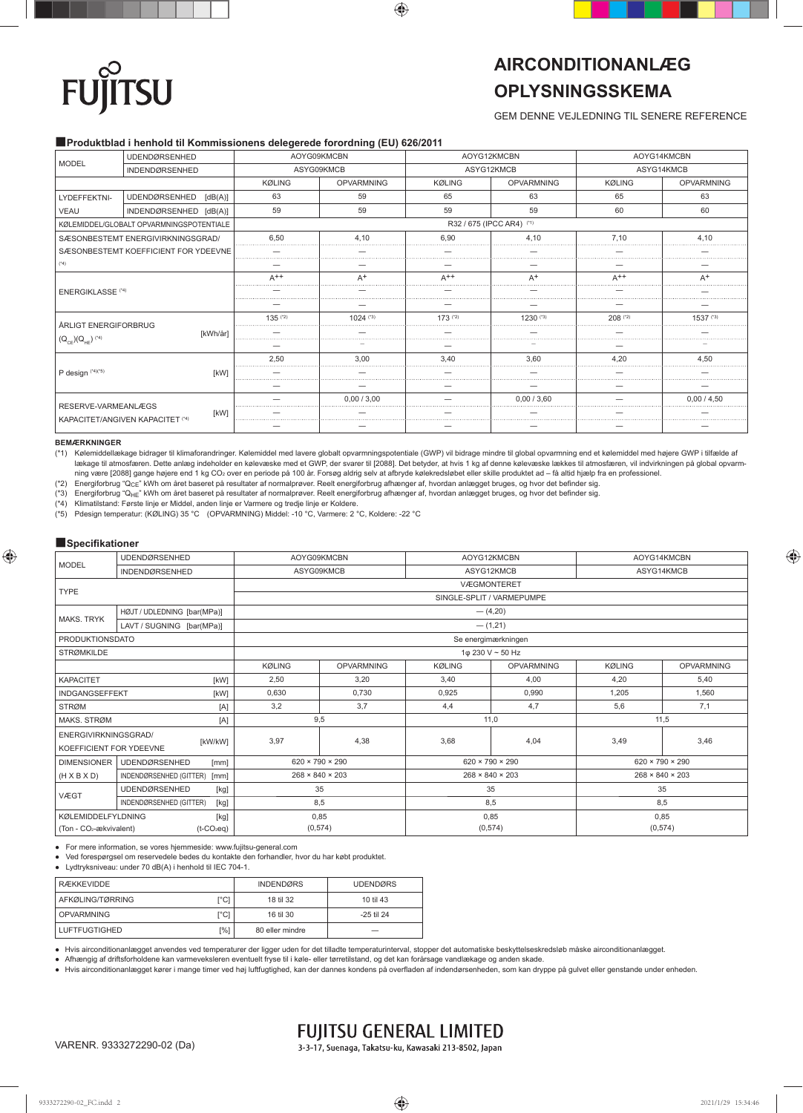# **TSU** FU

## **AIRCONDITIONANLÆG OPLYSNINGSSKEMA**

### GEM DENNE VEJLEDNING TIL SENERE REFERENCE

### ■**Produktblad i henhold til Kommissionens delegerede forordning (EU) 626/2011**

|                          | <b>UDENDØRSENHED</b>                     |               | AOYG09KMCBN<br>ASYG09KMCB |                           | AOYG12KMCBN       | AOYG14KMCBN   |                   |
|--------------------------|------------------------------------------|---------------|---------------------------|---------------------------|-------------------|---------------|-------------------|
| <b>MODEL</b>             | <b>INDENDØRSENHED</b>                    |               |                           |                           | ASYG12KMCB        | ASYG14KMCB    |                   |
|                          |                                          | <b>KØLING</b> | <b>OPVARMNING</b>         | <b>KØLING</b>             | <b>OPVARMNING</b> | <b>KØLING</b> | <b>OPVARMNING</b> |
| LYDEFFEKTNI-             | <b>UDENDØRSENHED</b><br>[dB(A)]          | 63            | 59                        | 65                        | 63                | 65            | 63                |
| <b>VEAU</b>              | INDENDØRSENHED [dB(A)]                   | 59            | 59                        | 59                        | 59                | 60            | 60                |
|                          | KØLEMIDDEL/GLOBALT OPVARMNINGSPOTENTIALE |               |                           | R32 / 675 (IPCC AR4) (*1) |                   |               |                   |
|                          | SÆSONBESTEMT ENERGIVIRKNINGSGRAD/        | 6.50<br>      | 4.10                      | 6.90                      | 4.10              | 7.10          | 4.10              |
|                          | SÆSONBESTEMT KOEFFICIENT FOR YDEEVNE     |               |                           |                           |                   |               |                   |
| $(*4)$                   |                                          |               |                           |                           |                   |               |                   |
|                          |                                          | $A++$         | $A^+$                     | $A++$                     | $A^+$             | $A++$         | $A^+$             |
| <b>ENERGIKLASSE</b> (*4) |                                          |               |                           |                           |                   |               |                   |
|                          |                                          |               |                           |                           |                   |               |                   |
| ÅRLIGT ENERGIFORBRUG     |                                          | $135$ ( $2$ ) | 1024 (*3)                 | $173$ (*2)                | $1230^{(3)}$      | $208$ (*2)    | 1537 (*3)         |
|                          | [kWh/år]                                 |               |                           |                           |                   |               |                   |
| $(Q_{CE}) (Q_{HE})$ (*4) |                                          |               |                           |                           |                   |               |                   |
|                          |                                          | 2.50          | 3.00                      | 3.40                      | 3.60              | 4.20          | 4.50              |
| P design (*4)(*5)        | [kW]                                     |               |                           |                           |                   |               |                   |
|                          |                                          |               |                           |                           |                   |               |                   |
| RESERVE-VARMEANLÆGS      |                                          |               | 0.00 / 3.00               |                           | 0.00 / 3.60       |               | 0.00 / 4.50       |
|                          | [kW]<br>KAPACITET/ANGIVEN KAPACITET (*4) |               |                           |                           |                   |               | .                 |
|                          |                                          |               |                           |                           |                   |               |                   |

### **BEMÆRKNINGER**

(\*1) Kølemiddellækage bidrager til klimaforandringer. Kølemiddel med lavere globalt opvarmningspotentiale (GWP) vil bidrage mindre til global opvarmning end et kølemiddel med højere GWP i tilfælde af lækage til atmosfæren. Dette anlæg indeholder en kølevæske med et GWP, der svarer til [2088]. Det betyder, at hvis 1 kg af denne kølevæske lækkes til atmosfæren, vil indvirkningen på global opvarm-<br>ning være [2088] gange

(\*2) Energiforbrug "QCE" kWh om året baseret på resultater af normalprøver. Reelt energiforbrug afhænger af, hvordan anlægget bruges, og hvor det befi nder sig.

(\*3) Energiforbrug "Q<sub>HE</sub>" kWh om året baseret på resultater af normalprøver. Reelt energiforbrug afhænger af, hvordan anlægget bruges, og hvor det befinder sig.<br>(\*4) Klimatilstand: Første linje er Middel, anden linje er V

Klimatilstand: Første linje er Middel, anden linje er Varmere og tredje linje er Koldere.

(\*5) Pdesign temperatur: (KØLING) 35 °C (OPVARMNING) Middel: -10 °C, Varmere: 2 °C, Koldere: -22 °C

### ■**Specifikationer**

| <b>MODEL</b>                                        | <b>UDENDØRSENHED</b>            |                             | AOYG09KMCBN       |               | AOYG12KMCBN<br>AOYG14KMCBN  |      |                                                                                    |  |  |
|-----------------------------------------------------|---------------------------------|-----------------------------|-------------------|---------------|-----------------------------|------|------------------------------------------------------------------------------------|--|--|
|                                                     | <b>INDENDØRSENHED</b>           | ASYG09KMCB                  |                   |               | ASYG12KMCB                  |      | ASYG14KMCB                                                                         |  |  |
| <b>TYPE</b>                                         |                                 | <b>VÆGMONTERET</b>          |                   |               |                             |      |                                                                                    |  |  |
|                                                     |                                 |                             |                   |               | SINGLE-SPLIT / VARMEPUMPE   |      |                                                                                    |  |  |
| <b>MAKS, TRYK</b>                                   | HØJT / UDLEDNING [bar(MPa)]     | $-$ (4,20)                  |                   |               |                             |      |                                                                                    |  |  |
|                                                     | LAVT / SUGNING [bar(MPa)]       | $-$ (1,21)                  |                   |               |                             |      |                                                                                    |  |  |
| <b>PRODUKTIONSDATO</b>                              |                                 | Se energimærkningen         |                   |               |                             |      |                                                                                    |  |  |
| <b>STRØMKILDE</b>                                   |                                 |                             |                   |               | 1φ 230 V ~ 50 Hz            |      | <b>KØLING</b><br><b>OPVARMNING</b><br>4,20<br>5,40<br>1,205<br>1,560<br>7,1<br>5,6 |  |  |
|                                                     |                                 | <b>KØLING</b>               | <b>OPVARMNING</b> | <b>KØLING</b> | <b>OPVARMNING</b>           |      |                                                                                    |  |  |
| <b>KAPACITET</b><br>[kW]                            |                                 | 2,50                        | 3,20              | 3,40          | 4,00                        |      |                                                                                    |  |  |
| <b>INDGANGSEFFEKT</b><br>[kW]                       |                                 | 0,630                       | 0,730             | 0,925         | 0,990                       |      |                                                                                    |  |  |
| <b>STRØM</b>                                        | [A]                             | 3,2                         | 3.7               | 4,4           | 4,7                         |      |                                                                                    |  |  |
| MAKS. STRØM                                         | [A]                             |                             | 9,5               | 11,0          |                             | 11,5 |                                                                                    |  |  |
| ENERGIVIRKNINGSGRAD/<br>KOEFFICIENT FOR YDEEVNE     | [kW/kW]                         | 3,97                        | 4,38              | 3,68          | 4.04                        | 3.49 | 3.46                                                                               |  |  |
| <b>DIMENSIONER</b>                                  | <b>UDENDØRSENHED</b><br>[mm]    | $620 \times 790 \times 290$ |                   |               | $620 \times 790 \times 290$ |      | $620 \times 790 \times 290$                                                        |  |  |
| $(H \times B \times D)$                             | INDENDØRSENHED (GITTER)<br>[mm] | $268 \times 840 \times 203$ |                   |               | $268 \times 840 \times 203$ |      | $268 \times 840 \times 203$                                                        |  |  |
|                                                     | <b>UDENDØRSENHED</b><br>[kg]    | 35                          |                   |               | 35                          |      | 35                                                                                 |  |  |
| VÆGT<br>INDENDØRSENHED (GITTER)<br>[kg]             |                                 |                             | 8,5               |               | 8,5                         |      | 8,5                                                                                |  |  |
| <b>KØLEMIDDELFYLDNING</b>                           | [kg]                            | 0,85                        |                   |               | 0,85                        | 0,85 |                                                                                    |  |  |
| (Ton - CO <sub>2</sub> -ækvivalent)<br>$(t-CO_2eq)$ |                                 |                             | (0, 574)          |               | (0,574)                     |      | (0, 574)                                                                           |  |  |

● For mere information, se vores hjemmeside: www.fujitsu-general.com

● Ved forespørgsel om reservedele bedes du kontakte den forhandler, hvor du har købt produktet.

● Lydtryksniveau: under 70 dB(A) i henhold til IEC 704-1.

| <b>RÆKKEVIDDE</b>    |      | <b>INDENDØRS</b> | <b>UDENDØRS</b> |
|----------------------|------|------------------|-----------------|
| AFKØLING/TØRRING     | ٢°C١ | 18 til 32        | 10 til 43       |
| <b>OPVARMNING</b>    | ľCl  | 16 til 30        | $-25$ til 24    |
| <b>LUFTFUGTIGHED</b> | [%]  | 80 eller mindre  |                 |

● Hvis airconditionanlægget anvendes ved temperaturer der ligger uden for det tilladte temperaturinterval, stopper det automatiske beskyttelseskredsløb måske airconditionanlægget.

● Afhængig af driftsforholdene kan varmeveksleren eventuelt fryse til i køle- eller tørretilstand, og det kan forårsage vandlækage og anden skade.

● Hvis airconditionanlægget kører i mange timer ved høj luftfugtighed, kan der dannes kondens på overfl aden af indendørsenheden, som kan dryppe på gulvet eller genstande under enheden.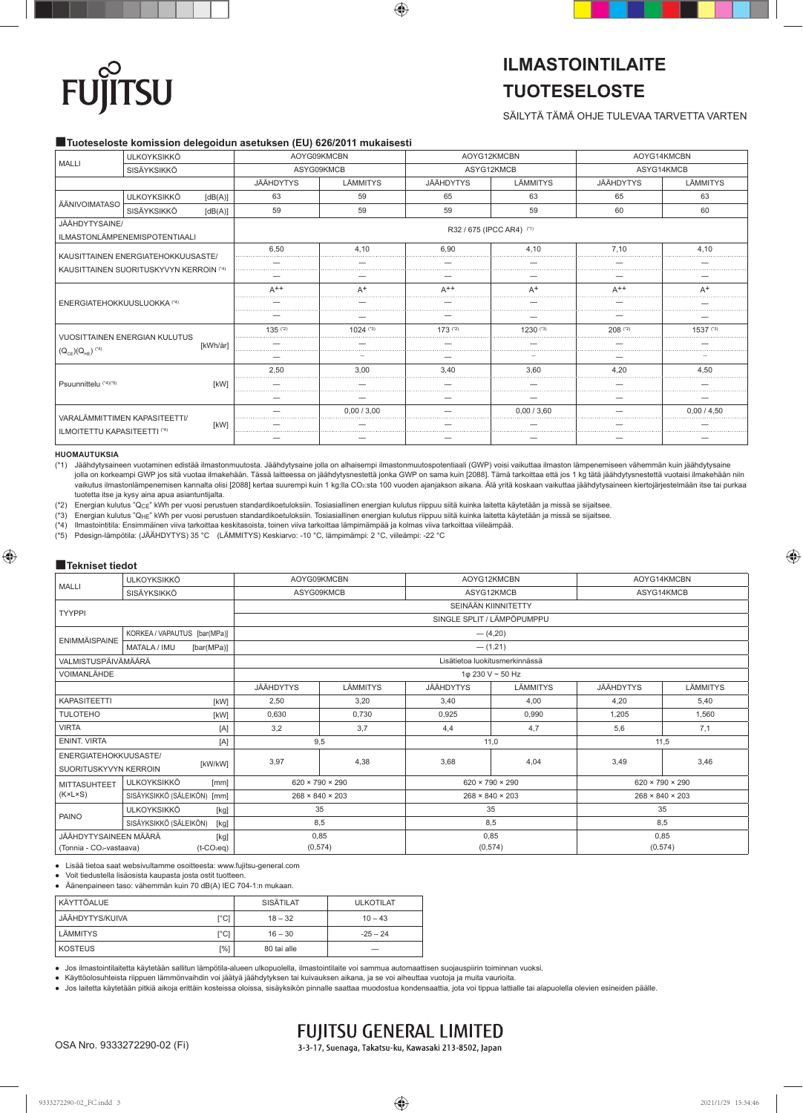# **SU** FU

## **ILMASTOINTILAITE TUOTESELOSTE**

### SÄILYTÄ TÄMÄ OHJE TULEVAA TARVETTA VARTEN

### ■**Tuoteseloste komission delegoidun asetuksen (EU) 626/2011 mukaisesti**

| <b>MALLI</b>                                                                  | <b>ULKOYKSIKKÖ</b>            |          | AOYG09KMCBN<br>ASYG09KMCB |                        | AOYG12KMCBN               |              | AOYG14KMCBN |                                    |  |  |  |
|-------------------------------------------------------------------------------|-------------------------------|----------|---------------------------|------------------------|---------------------------|--------------|-------------|------------------------------------|--|--|--|
|                                                                               | SISÄYKSIKKÖ                   |          |                           |                        | ASYG12KMCB                |              | ASYG14KMCB  |                                    |  |  |  |
|                                                                               |                               |          | JÄÄHDYTYS                 | LÄMMITYS               | JÄÄHDYTYS                 | LÄMMITYS     | JÄÄHDYTYS   | LÄMMITYS                           |  |  |  |
| ÄÄNIVOIMATASO                                                                 | <b>ULKOYKSIKKÖ</b>            | [dB(A)]  | 63                        | 59                     | 65                        | 63           | 65          | 63                                 |  |  |  |
|                                                                               | SISÄYKSIKKÖ                   | [dB(A)]  | 59                        | 59                     | 59                        | 59           | 60          | 60                                 |  |  |  |
| JÄÄHDYTYSAINE/<br>ILMASTONLÄMPENEMISPOTENTIAALI                               |                               |          |                           |                        | R32 / 675 (IPCC AR4) (*1) |              |             | 4.10<br>$A^+$<br>1537 (*3)<br>4.50 |  |  |  |
| KAUSITTAINEN ENERGIATEHOKKUUSASTE/<br>KAUSITTAINEN SUORITUSKYVYN KERROIN (*4) |                               |          | 6.50                      | 4.10                   | 6.90                      | 4.10         | 7.10        |                                    |  |  |  |
|                                                                               |                               |          |                           |                        |                           |              |             |                                    |  |  |  |
|                                                                               |                               |          |                           |                        |                           |              |             |                                    |  |  |  |
|                                                                               |                               |          | $A^{++}$                  | $A^+$                  | $A^{++}$                  | $A^+$        | $A++$       |                                    |  |  |  |
| ENERGIATEHOKKUUSLUOKKA (*4)                                                   |                               |          |                           |                        |                           |              |             |                                    |  |  |  |
|                                                                               |                               |          |                           |                        |                           |              |             |                                    |  |  |  |
|                                                                               | VUOSITTAINEN ENERGIAN KULUTUS |          | $135$ ( $2)$              | $1024$ <sup>(*3)</sup> | $173$ (*2)                | $1230^{(3)}$ | 208 (*2)    |                                    |  |  |  |
|                                                                               |                               | [kWh/år] |                           |                        |                           |              |             |                                    |  |  |  |
| $(Q_{CE}) (Q_{HE})$ (*4)                                                      |                               |          |                           |                        |                           |              |             |                                    |  |  |  |
|                                                                               |                               |          | 2.50                      | 3.00                   | 3,40                      | 3.60         | 4.20        |                                    |  |  |  |
| Psuunnittelu (*4)(*5)                                                         |                               | [kW]     |                           |                        |                           |              |             | 0.00 / 4.50                        |  |  |  |
|                                                                               |                               |          |                           |                        |                           |              |             |                                    |  |  |  |
|                                                                               | VARALÄMMITTIMEN KAPASITEETTI/ |          |                           | 0.00 / 3.00            |                           | 0.00 / 3.60  |             |                                    |  |  |  |
| ILMOITETTU KAPASITEETTI (*4)                                                  |                               | [kW]     |                           |                        |                           |              |             |                                    |  |  |  |
|                                                                               |                               |          |                           |                        |                           |              |             |                                    |  |  |  |

### **HUOMAUTUKSIA**

(\*1) Jäähdytysaineen vuotaminen edistää ilmastonmuutosta. Jäähdytysaine jolla on alhaisempi ilmastonmuutospotentiaali (GWP) voisi vaikuttaa ilmaston lämpenemiseen vähemmän kuin jäähdytysaine jolla on korkeampi GWP jos sitä vuotaa ilmakehään. Tässä laitteessa on jäähdytysnestettä jonka GWP on sama kuin [2088]. Tämä tarkoittaa että jos 1 kg tätä jäähdytysnestettä vuotaisi ilmakehään niin vaikutus ilmastonlämpenemisen kannalta olisi [2088] kertaa suurempi kuin 1 kg:lla CO2:sta 100 vuoden ajanjakson aikana. Älä yritä koskaan vaikuttaa jäähdytysaineen kiertojärjestelmään itse tai purkaa tuotetta itse ja kysy aina apua asiantuntijalta.

(\*2) Energian kulutus "QCE" kWh per vuosi perustuen standardikoetuloksiin. Tosiasiallinen energian kulutus riippuu siitä kuinka laitetta käytetään ja missä se sijaitsee.

(\*3) Energian kulutus "Q<sub>HE</sub>" kWh per vuosi perustuen standardikoetuloksiin. Tosiasiallinen energian kulutus riippuu siitä kuinka laitetta käytetään ja missä se sijaitsee.<br>(\*4) Ilmastointitila: Ensimmäinen viiva tarkoittaa

(\*4) Ilmastointitila: Ensimmäinen viiva tarkoittaa keskitasoista, toinen viiva tarkoittaa lämpimämpää ja kolmas viiva tarkoittaa viileämpää.

(\*5) Pdesign-lämpötila: (JÄÄHDYTYS) 35 °C (LÄMMITYS) Keskiarvo: -10 °C, lämpimämpi: 2 °C, viileämpi: -22 °C

### ■**Tekniset tiedot**

| <b>MALLI</b>                         | <b>ULKOYKSIKKÖ</b>                |                           | AOYG09KMCBN                    |          | AOYG12KMCBN                 |                             | AOYG14KMCBN                 |                                                                |  |  |
|--------------------------------------|-----------------------------------|---------------------------|--------------------------------|----------|-----------------------------|-----------------------------|-----------------------------|----------------------------------------------------------------|--|--|
|                                      | SISÄYKSIKKÖ                       |                           | ASYG09KMCB                     |          | ASYG12KMCB                  |                             | ASYG14KMCB                  |                                                                |  |  |
|                                      |                                   |                           | SEINÄÄN KIINNITETTY            |          |                             |                             |                             |                                                                |  |  |
| <b>TYYPPI</b>                        |                                   |                           | SINGLE SPLIT / LÄMPÖPUMPPU     |          |                             |                             |                             |                                                                |  |  |
| ENIMMÄISPAINE                        | KORKEA / VAPAUTUS [bar(MPa)]      |                           |                                |          | $-$ (4,20)                  |                             |                             |                                                                |  |  |
|                                      | <b>MATALA / IMU</b><br>[bar(MPa)] |                           | $-$ (1,21)                     |          |                             |                             |                             |                                                                |  |  |
| VALMISTUSPÄIVÄMÄÄRÄ                  |                                   |                           | Lisätietoa luokitusmerkinnässä |          |                             |                             |                             |                                                                |  |  |
| <b>VOIMANLÄHDE</b>                   |                                   |                           |                                |          |                             | 1φ 230 V ~ 50 Hz            |                             | <b>JÄÄHDYTYS</b><br>LÄMMITYS<br>4,20<br>5.40<br>1,560<br>1,205 |  |  |
|                                      |                                   |                           | <b>JÄÄHDYTYS</b>               | LÄMMITYS | <b>JÄÄHDYTYS</b>            | LÄMMITYS                    |                             |                                                                |  |  |
| KAPASITEETTI<br>[kW]                 |                                   |                           | 2,50                           | 3,20     | 3.40                        | 4.00                        |                             |                                                                |  |  |
| <b>TULOTEHO</b><br>[kW]              |                                   |                           | 0,630                          | 0,730    | 0,925                       | 0,990                       |                             |                                                                |  |  |
| <b>VIRTA</b>                         |                                   | [A]                       | 3,2                            | 3,7      | 4,4                         | 4,7                         | 5,6                         | 7,1                                                            |  |  |
| <b>ENINT. VIRTA</b>                  |                                   | $[{\sf A}]$               | 9,5                            |          | 11,0                        |                             | 11,5                        |                                                                |  |  |
| ENERGIATEHOKKUUSASTE/                |                                   |                           | 3,97                           | 4,38     | 3,68                        | 4,04                        | 3,49                        | 3,46                                                           |  |  |
| SUORITUSKYVYN KERROIN                |                                   | [kW/kW]                   |                                |          |                             |                             |                             |                                                                |  |  |
| <b>MITTASUHTEET</b>                  | <b>ULKOYKSIKKÖ</b>                | [mm]                      | $620 \times 790 \times 290$    |          | $620 \times 790 \times 290$ |                             | $620 \times 790 \times 290$ |                                                                |  |  |
| $(K \times L \times S)$              | SISÄYKSIKKÖ (SÄLEIKÖN) [mm]       |                           | $268 \times 840 \times 203$    |          |                             | $268 \times 840 \times 203$ | $268 \times 840 \times 203$ |                                                                |  |  |
| PAINO                                | <b>ULKOYKSIKKÖ</b>                | [kg]                      | 35                             |          | 35                          |                             |                             | 35                                                             |  |  |
|                                      | SISÄYKSIKKÖ (SÄLEIKÖN)            | [kg]                      | 8.5                            |          | 8,5                         |                             | 8,5                         |                                                                |  |  |
| JÄÄHDYTYSAINEEN MÄÄRÄ                |                                   | [kg]                      | 0,85                           |          | 0,85                        |                             | 0,85                        |                                                                |  |  |
| (Tonnia - CO <sub>2</sub> -vastaava) |                                   | $(t$ -CO <sub>2</sub> eq) | (0,574)                        |          | (0,574)                     |                             | (0,574)                     |                                                                |  |  |

● Lisää tietoa saat websivultamme osoitteesta: www.fujitsu-general.com

Voit tiedustella lisäosista kaupasta josta ostit tuotteen.

● Äänenpaineen taso: vähemmän kuin 70 dB(A) IEC 704-1:n mukaan.

| <b>KÄYTTÖALUE</b> |                     | SISÄTILAT   | <b>ULKOTILAT</b> |
|-------------------|---------------------|-------------|------------------|
| i JÄÄHDYTYS/KUIVA | $\Gamma^{\circ}$ Cl | $18 - 32$   | $10 - 43$        |
| LÄMMITYS          | $\Gamma^{\circ}$ Cl | $16 - 30$   | $-25 - 24$       |
| <b>KOSTEUS</b>    | [%]                 | 80 tai alle | _                |

● Jos ilmastointilaitetta käytetään sallitun lämpötila-alueen ulkopuolella, ilmastointilaite voi sammua automaattisen suojauspiirin toiminnan vuoksi.

● Käyttöolosuhteista riippuen lämmönvaihdin voi jäätyä jäähdytyksen tai kuivauksen aikana, ja se voi aiheuttaa vuotoja ja muita vaurioita.

● Jos laitetta käytetään pitkiä aikoja erittäin kosteissa oloissa, sisäyksikön pinnalle saattaa muodostua kondensaattia, jota voi tippua lattialle tai alapuolella olevien esineiden päälle.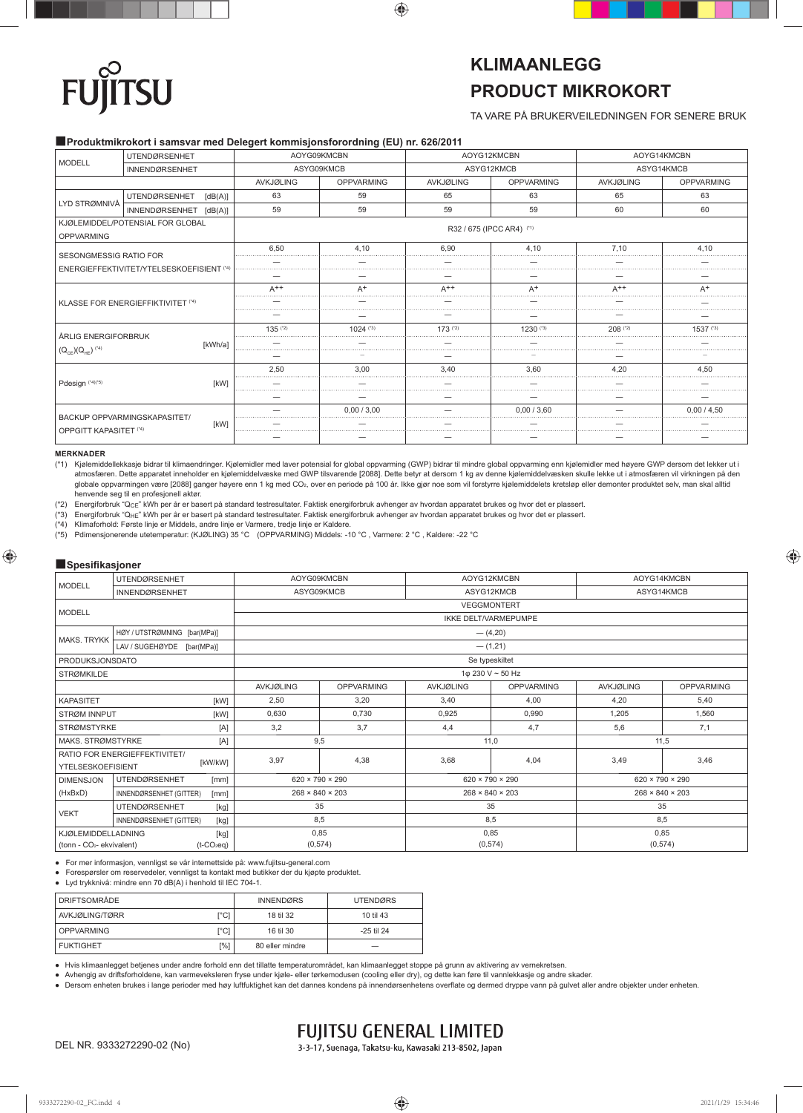# **SU**

## **KLIMAANLEGG PRODUCT MIKROKORT**

TA VARE PÅ BRUKERVEILEDNINGEN FOR SENERE BRUK

### ■**Produktmikrokort i samsvar med Delegert kommisjonsforordning (EU) nr. 626/2011**

|                                                                            | <b>UTENDØRSENHET</b>                      | AOYG09KMCBN      |                   | AOYG12KMCBN               |                   | AOYG14KMCBN |                   |
|----------------------------------------------------------------------------|-------------------------------------------|------------------|-------------------|---------------------------|-------------------|-------------|-------------------|
| <b>MODELL</b>                                                              | <b>INNENDØRSENHET</b>                     | ASYG09KMCB       |                   | ASYG12KMCB                |                   | ASYG14KMCB  |                   |
|                                                                            |                                           | <b>AVKJØLING</b> | <b>OPPVARMING</b> | AVKJØLING                 | <b>OPPVARMING</b> | AVKJØLING   | <b>OPPVARMING</b> |
| LYD STRØMNIVÅ                                                              | <b>UTENDØRSENHET</b><br>[dB(A)]           | 63               | 59                | 65                        | 63                | 65          | 63                |
|                                                                            | INNENDØRSENHET [dB(A)]                    | 59               | 59                | 59                        | 59                | 60          | 60                |
| <b>OPPVARMING</b>                                                          | KJØLEMIDDEL/POTENSIAL FOR GLOBAL          |                  |                   | R32 / 675 (IPCC AR4) (*1) |                   |             |                   |
| <b>SESONGMESSIG RATIO FOR</b><br>ENERGIEFFEKTIVITET/YTELSESKOEFISIENT (*4) |                                           | 6.50             | 4.10              | 6.90                      | 4.10              | 7.10        | 4.10              |
|                                                                            |                                           |                  |                   |                           |                   |             |                   |
|                                                                            |                                           |                  |                   |                           |                   |             |                   |
|                                                                            |                                           | $A++$            | $A^+$             | $A++$                     | $A^+$             | $A++$       | $A^+$             |
|                                                                            | <b>KLASSE FOR ENERGIEFFIKTIVITET (*4)</b> |                  |                   |                           |                   |             |                   |
|                                                                            |                                           |                  |                   |                           |                   |             |                   |
| ÅRLIG ENERGIFORBRUK                                                        |                                           | $135$ ( $2$ )    | $1024$ (*3)       | $173$ (*2)                | 1230 (*3)         | $208$ (*2)  | 1537 (*3)         |
|                                                                            | [kWh/a]                                   |                  |                   |                           |                   |             |                   |
| $(Q_{CE}) (Q_{HE})$ <sup>(*4)</sup>                                        |                                           |                  |                   |                           |                   |             |                   |
|                                                                            |                                           | 2,50             | 3.00              | 3,40                      | 3,60              | 4.20        | 4.50              |
| Pdesign (*4)(*5)                                                           | <b>IKWI</b>                               |                  |                   |                           |                   |             |                   |
|                                                                            |                                           |                  |                   |                           |                   |             |                   |
|                                                                            | BACKUP OPPVARMINGSKAPASITET/              |                  | 0.00 / 3.00       |                           | 0.00 / 3.60       |             | 0.00 / 4.50       |
|                                                                            | [kW]                                      |                  |                   |                           |                   |             |                   |
| <b>OPPGITT KAPASITET (*4)</b>                                              |                                           |                  |                   |                           |                   |             |                   |

### **MERKNADER**

(\*1) Kjølemiddellekkasje bidrar til klimaendringer. Kjølemidler med laver potensial for global oppvarming (GWP) bidrar til mindre global oppvarming enn kjølemidler med høyere GWP dersom det lekker ut i atmosfæren. Dette apparatet inneholder en kjølemiddelvæske med GWP tilsvarende [2088]. Dette betyr at dersom 1 kg av denne kjølemiddelvæsken skulle lekke ut i atmosfæren vil virkningen på den globale oppvarmingen være [2088] ganger høyere enn 1 kg med CO2, over en periode på 100 år. Ikke gjør noe som vil forstyrre kjølemiddelets kretsløp eller demonter produktet selv, man skal alltid

henvende seg til en profesjonell aktør.<br>(\*2) Energiforbruk "Q<sub>CE</sub>" kWh per år er basert på standard testresultater. Faktisk energiforbruk avhenger av hvordan apparatet brukes og hvor det er plassert.

(\*3) Energiforbruk "QHE" kWh per år er basert på standard testresultater. Faktisk energiforbruk avhenger av hvordan apparatet brukes og hvor det er plassert.

(\*4) Klimaforhold: Første linje er Middels, andre linje er Varmere, tredje linje er Kaldere.<br>(\*5) Primensionerende utefemperatur: (KJØLING) 35 °C. (OPPVARMING) Middels: -1

(\*5) Pdimensjonerende utetemperatur: (KJØLING) 35 °C (OPPVARMING) Middels: -10 °C , Varmere: 2 °C , Kaldere: -22 °C

### ■**Spesifikasioner**

|                                       | UTENDØRSENHET                   | AOYG09KMCBN        |                             |                  | AOYG12KMCBN                           |            | AOYG14KMCBN                 |  |
|---------------------------------------|---------------------------------|--------------------|-----------------------------|------------------|---------------------------------------|------------|-----------------------------|--|
| <b>MODELL</b>                         | <b>INNENDØRSENHET</b>           | ASYG09KMCB         |                             | ASYG12KMCB       |                                       | ASYG14KMCB |                             |  |
|                                       |                                 | <b>VEGGMONTERT</b> |                             |                  |                                       |            |                             |  |
| <b>MODELL</b>                         |                                 |                    |                             |                  | <b>IKKE DELT/VARMEPUMPE</b>           |            |                             |  |
| <b>MAKS, TRYKK</b>                    | HØY / UTSTRØMNING [bar(MPa)]    |                    |                             |                  | $-(4,20)$                             |            |                             |  |
|                                       | LAV / SUGEHØYDE [bar(MPa)]      | $-$ (1,21)         |                             |                  |                                       |            |                             |  |
| <b>PRODUKSJONSDATO</b>                |                                 | Se typeskiltet     |                             |                  |                                       |            |                             |  |
| <b>STRØMKILDE</b>                     |                                 |                    |                             | 1φ 230 V ~ 50 Hz | <b>OPPVARMING</b><br><b>AVKJØLING</b> |            |                             |  |
|                                       |                                 | AVKJØLING          | <b>OPPVARMING</b>           | <b>AVKJØLING</b> | <b>OPPVARMING</b>                     |            |                             |  |
| <b>KAPASITET</b><br>[kW]              |                                 | 2,50               | 3,20                        | 3,40             | 4,00                                  | 4,20       | 5,40                        |  |
| STRØM INNPUT<br>[kW]                  |                                 | 0.630              | 0.730                       | 0,925            | 0.990                                 | 1.205      | 1.560                       |  |
| <b>STRØMSTYRKE</b>                    | [A]                             | 3,2                | 3.7                         | 4,4              | 4,7                                   | 5,6        | 7,1                         |  |
| MAKS, STRØMSTYRKE                     | $[{\sf A}]$                     | 9,5                |                             |                  | 11,0                                  |            | 11,5                        |  |
|                                       | RATIO FOR ENERGIEFFEKTIVITET/   | 3,97               | 4,38                        | 3,68             | 4,04                                  | 3,49       | 3,46                        |  |
| <b>YTELSESKOEFISIENT</b>              | [kW/kW]                         |                    |                             |                  |                                       |            |                             |  |
| <b>DIMENSJON</b>                      | <b>UTENDØRSENHET</b><br>[mm]    |                    | $620 \times 790 \times 290$ |                  | $620 \times 790 \times 290$           |            | $620 \times 790 \times 290$ |  |
| (HxBxD)                               | INNENDØRSENHET (GITTER)<br>[mm] |                    | $268 \times 840 \times 203$ |                  | $268 \times 840 \times 203$           |            | $268 \times 840 \times 203$ |  |
| <b>VEKT</b>                           | <b>UTENDØRSENHET</b><br>[kg]    | 35                 |                             |                  | 35                                    |            | 35                          |  |
|                                       | INNENDØRSENHET (GITTER)<br>[kg] | 8,5                |                             |                  | 8,5                                   |            | 8,5                         |  |
| <b>KJØLEMIDDELLADNING</b>             | [kg]                            | 0,85               |                             |                  | 0,85                                  | 0,85       |                             |  |
| (tonn - CO <sub>2</sub> - ekvivalent) | $(t$ -CO <sub>2</sub> eq)       |                    | (0, 574)                    |                  | (0, 574)                              | (0,574)    |                             |  |

● For mer informasjon, vennligst se vår internettside på: www.fujitsu-general.com

● Forespørsler om reservedeler, vennligst ta kontakt med butikker der du kjøpte produktet.

● Lyd trykknivå: mindre enn 70 dB(A) i henhold til IEC 704-1.

| <b>DRIFTSOMRÅDE</b> |      | <b>INNENDØRS</b> | <b>UTENDØRS</b> |
|---------------------|------|------------------|-----------------|
| AVKJØLING/TØRR      | [°C) | 18 til 32        | 10 til 43       |
| <b>OPPVARMING</b>   | [°C] | 16 til 30        | $-25$ til 24    |
| <b>FUKTIGHET</b>    | [%]  | 80 eller mindre  |                 |

● Hvis klimaanlegget betjenes under andre forhold enn det tillatte temperaturområdet, kan klimaanlegget stoppe på grunn av aktivering av vernekretsen.

● Avhengig av driftsforholdene, kan varmeveksleren fryse under kjøle- eller tørkemodusen (cooling eller dry), og dette kan føre til vannlekkasje og andre skader.

● Dersom enheten brukes i lange perioder med høy luftfuktighet kan det dannes kondens på innendørsenhetens overfl ate og dermed dryppe vann på gulvet aller andre objekter under enheten.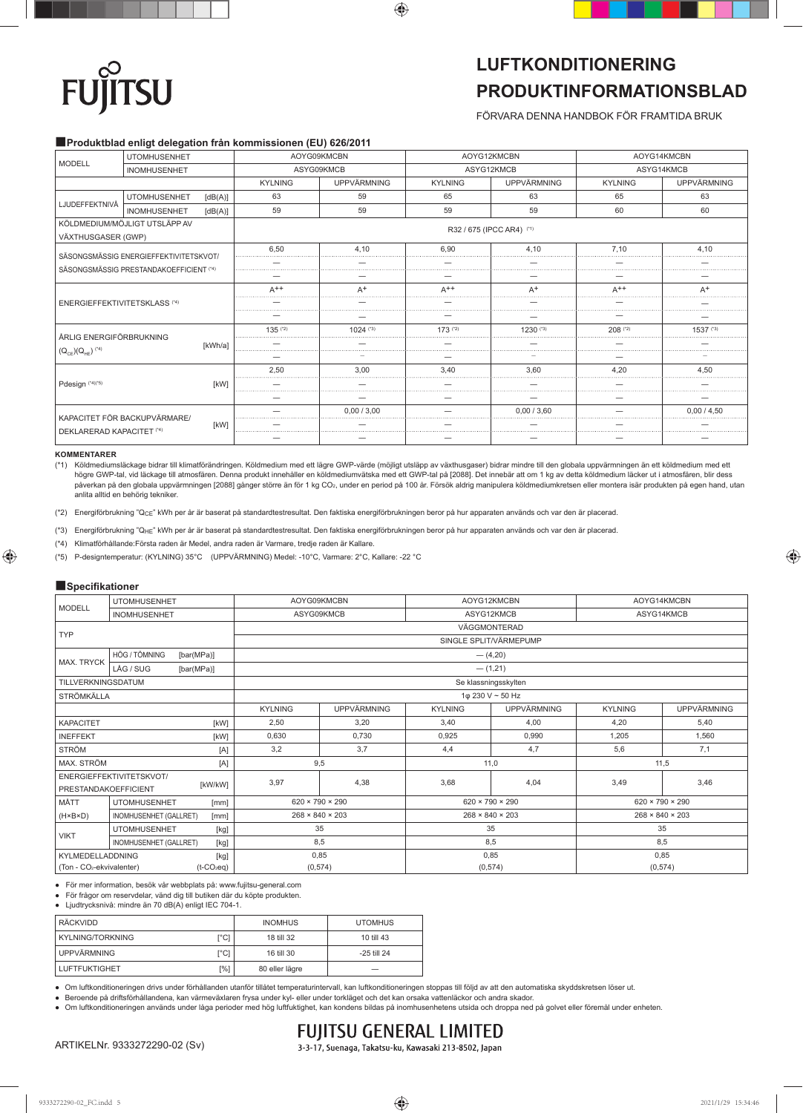# **TSU FU**

## **LUFTKONDITIONERING PRODUKTINFORMATIONSBLAD**

FÖRVARA DENNA HANDBOK FÖR FRAMTIDA BRUK

### ■**Produktblad enligt delegation från kommissionen (EU) 626/2011**

| <b>MODELL</b>                                       | <b>UTOMHUSENHET</b>          |                           | AOYG09KMCBN |                        | AOYG12KMCBN        |                | AOYG14KMCBN |             |
|-----------------------------------------------------|------------------------------|---------------------------|-------------|------------------------|--------------------|----------------|-------------|-------------|
|                                                     | <b>INOMHUSENHET</b>          |                           | ASYG09KMCB  |                        | ASYG12KMCB         |                | ASYG14KMCB  |             |
|                                                     |                              | <b>KYLNING</b>            | UPPVÄRMNING | <b>KYLNING</b>         | <b>UPPVÄRMNING</b> | <b>KYLNING</b> | UPPVÄRMNING |             |
| LJUDEFFEKTNIVÅ                                      | <b>UTOMHUSENHET</b>          | [dB(A)]                   | 63          | 59                     | 65                 | 63             | 65          | 63          |
|                                                     | INOMHUSENHET                 | [dB(A)]                   | 59          | 59                     | 59                 | 59             | 60          | 60          |
| KÖLDMEDIUM/MÖJLIGT UTSLÄPP AV<br>VÄXTHUSGASER (GWP) |                              | R32 / 675 (IPCC AR4) (*1) |             |                        |                    |                |             |             |
| SÄSONGSMÄSSIG ENERGIEFFEKTIVITETSKVOT/              |                              | 6.50                      | 4.10        | 6.90                   | 4.10               | 7.10           | 4.10        |             |
| SÄSONGSMÄSSIG PRESTANDAKOEFFICIENT (*4)             |                              |                           |             |                        |                    |                |             |             |
|                                                     |                              |                           |             |                        |                    |                |             |             |
| <b>ENERGIEFFEKTIVITETSKLASS (*4)</b>                |                              | $A^{++}$                  | $A^+$       | $A^{++}$               | $A^+$              | $\Delta$ ++    | $A^+$       |             |
|                                                     |                              |                           |             |                        |                    |                |             |             |
|                                                     |                              |                           |             |                        |                    |                |             |             |
| ÅRLIG ENERGIFÖRBRUKNING                             |                              |                           | $135^{(2)}$ | $1024$ <sup>(*3)</sup> | $173$ (*2)         | $1230^{(3)}$   | $208$ (*2)  | $1537$ (*3) |
|                                                     |                              | [kWh/a]                   |             |                        |                    |                |             |             |
|                                                     | $(Q_{CF}(Q_{HF})^{(4)}$      |                           |             |                        |                    |                |             |             |
|                                                     |                              |                           | 2.50        | 3.00                   | 3.40               | 3.60           | 4.20        | 4.50        |
| Pdesign (*4)(*5)                                    | [kW]                         |                           |             |                        |                    |                |             |             |
|                                                     |                              |                           |             |                        |                    |                |             |             |
|                                                     | KAPACITET FÖR BACKUPVÄRMARE/ | [kW]                      |             | 0.00 / 3.00            |                    | 0.00 / 3.60    |             | 0.00 / 4.50 |
| <b>DEKLARERAD KAPACITET (*4)</b>                    |                              |                           |             |                        |                    |                |             |             |
|                                                     |                              |                           |             |                        |                    |                |             |             |

### **KOMMENTARER**

(\*1) Köldmediumsläckage bidrar till klimatförändringen. Köldmedium med ett lägre GWP-värde (möjligt utsläpp av växthusgaser) bidrar mindre till den globala uppvärmningen än ett köldmedium med ett högre GWP-tal, vid läckage till atmosfären. Denna produkt innehåller en köldmediumvätska med ett GWP-tal på [2088]. Det innebär att om 1 kg av detta köldmedium läcker ut i atmosfären, blir dess påverkan på den globala uppvärmningen [2088] gånger större än för 1 kg CO<sub>2</sub>, under en period på 100 år. Försök aldrig manipulera köldmediumkretsen eller montera isär produkten på egen hand, utan anlita alltid en behörig tekniker.

(\*2) Energiförbrukning "QCE" kWh per år är baserat på standardtestresultat. Den faktiska energiförbrukningen beror på hur apparaten används och var den är placerad.

(\*3) Energiförbrukning "QHE" kWh per år är baserat på standardtestresultat. Den faktiska energiförbrukningen beror på hur apparaten används och var den är placerad.

(\*4) Klimatförhållande:Första raden är Medel, andra raden är Varmare, tredje raden är Kallare.

(\*5) P-designtemperatur: (KYLNING) 35°C (UPPVÄRMNING) Medel: -10°C, Varmare: 2°C, Kallare: -22 °C

### ■**Specifi kationer**

| <b>MODELL</b>                                                      | <b>UTOMHUSENHET</b>         | AOYG09KMCBN                 |                             | AOYG12KMCBN                 |                             | AOYG14KMCBN                 |                             |  |
|--------------------------------------------------------------------|-----------------------------|-----------------------------|-----------------------------|-----------------------------|-----------------------------|-----------------------------|-----------------------------|--|
| <b>INOMHUSENHET</b>                                                |                             | ASYG09KMCB                  |                             | ASYG12KMCB                  |                             | ASYG14KMCB                  |                             |  |
| <b>TYP</b>                                                         |                             | VÄGGMONTERAD                |                             |                             |                             |                             |                             |  |
|                                                                    |                             | SINGLE SPLIT/VÄRMEPUMP      |                             |                             |                             |                             |                             |  |
| <b>MAX. TRYCK</b>                                                  | HÖG / TÖMNING<br>[bar(MPa)] | $-$ (4,20)                  |                             |                             |                             |                             |                             |  |
|                                                                    | LÅG / SUG<br>[bar(MPa)]     | $-$ (1,21)                  |                             |                             |                             |                             |                             |  |
| TILLVERKNINGSDATUM                                                 |                             | Se klassningsskylten        |                             |                             |                             |                             |                             |  |
| <b>STRÖMKÄLLA</b>                                                  |                             | 1φ 230 V ~ 50 Hz            |                             |                             |                             |                             |                             |  |
|                                                                    |                             | <b>KYLNING</b>              | UPPVÄRMNING                 | <b>KYLNING</b>              | UPPVÄRMNING                 | <b>KYLNING</b>              | UPPVÄRMNING                 |  |
| <b>KAPACITET</b><br>[kW]                                           |                             | 2,50                        | 3,20                        | 3,40                        | 4,00                        | 4,20                        | 5,40                        |  |
| <b>INEFFEKT</b><br>[kW]                                            |                             | 0,630                       | 0,730                       | 0,925                       | 0,990                       | 1,205                       | 1,560                       |  |
| <b>STRÖM</b>                                                       | [A]                         | 3,2                         | 3.7                         | 4,4                         | 4,7                         | 5,6                         | 7,1                         |  |
| MAX. STRÖM<br>[A]                                                  |                             | 9,5                         |                             | 11,0                        |                             | 11,5                        |                             |  |
|                                                                    | ENERGIEFFEKTIVITETSKVOT/    | 3,97                        | 4,38                        | 3,68                        | 4,04                        | 3,49                        | 3,46                        |  |
| [kW/kW]<br><b>PRESTANDAKOEFFICIENT</b>                             |                             |                             |                             |                             |                             |                             |                             |  |
| MÅTT                                                               | <b>UTOMHUSENHET</b><br>[mm] |                             | $620 \times 790 \times 290$ |                             | $620 \times 790 \times 290$ |                             | $620 \times 790 \times 290$ |  |
| $(H \times B \times D)$<br>INOMHUSENHET (GALLRET)<br>[mm]          |                             | $268 \times 840 \times 203$ |                             | $268 \times 840 \times 203$ |                             | $268 \times 840 \times 203$ |                             |  |
| <b>VIKT</b>                                                        | <b>UTOMHUSENHET</b><br>[kg] | 35                          |                             | 35                          |                             | 35                          |                             |  |
| INOMHUSENHET (GALLRET)<br>[kg]                                     |                             | 8,5                         |                             | 8,5                         |                             | 8,5                         |                             |  |
| KYLMEDELLADDNING<br>[kg]                                           |                             | 0,85                        |                             | 0,85                        |                             | 0,85                        |                             |  |
| (Ton - CO <sub>2</sub> -ekvivalenter)<br>$(t$ -CO <sub>2</sub> eq) |                             | (0, 574)                    |                             | (0, 574)                    |                             | (0, 574)                    |                             |  |

● För mer information, besök vår webbplats på: www.fujitsu-general.com

● För frågor om reservdelar, vänd dig till butiken där du köpte produkten.

● Ljudtrycksnivå: mindre än 70 dB(A) enligt IEC 704-1.

| i RÄCKVIDD           |      | <b>INOMHUS</b> | <b>UTOMHUS</b> |
|----------------------|------|----------------|----------------|
| l KYLNING/TORKNING   | [°C] | 18 till 32     | 10 till 43     |
| UPPVÄRMNING          | r°C1 | 16 till 30     | -25 till 24    |
| <b>LUFTFUKTIGHET</b> | [%]  | 80 eller lägre |                |

● Om luftkonditioneringen drivs under förhållanden utanför tillåtet temperaturintervall, kan luftkonditioneringen stoppas till följd av att den automatiska skyddskretsen löser ut.

● Beroende på driftsförhållandena, kan värmeväxlaren frysa under kyl- eller under torkläget och det kan orsaka vattenläckor och andra skador.

● Om luftkonditioneringen används under låga perioder med hög luftfuktighet, kan kondens bildas på inomhusenhetens utsida och droppa ned på golvet eller föremål under enheten.